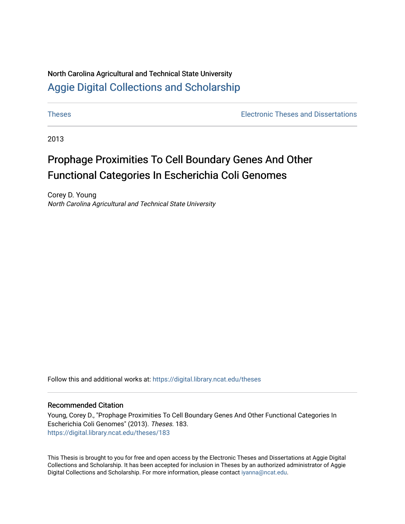# North Carolina Agricultural and Technical State University [Aggie Digital Collections and Scholarship](https://digital.library.ncat.edu/)

[Theses](https://digital.library.ncat.edu/theses) [Electronic Theses and Dissertations](https://digital.library.ncat.edu/etds) 

2013

# Prophage Proximities To Cell Boundary Genes And Other Functional Categories In Escherichia Coli Genomes

Corey D. Young North Carolina Agricultural and Technical State University

Follow this and additional works at: [https://digital.library.ncat.edu/theses](https://digital.library.ncat.edu/theses?utm_source=digital.library.ncat.edu%2Ftheses%2F183&utm_medium=PDF&utm_campaign=PDFCoverPages) 

### Recommended Citation

Young, Corey D., "Prophage Proximities To Cell Boundary Genes And Other Functional Categories In Escherichia Coli Genomes" (2013). Theses. 183. [https://digital.library.ncat.edu/theses/183](https://digital.library.ncat.edu/theses/183?utm_source=digital.library.ncat.edu%2Ftheses%2F183&utm_medium=PDF&utm_campaign=PDFCoverPages) 

This Thesis is brought to you for free and open access by the Electronic Theses and Dissertations at Aggie Digital Collections and Scholarship. It has been accepted for inclusion in Theses by an authorized administrator of Aggie Digital Collections and Scholarship. For more information, please contact [iyanna@ncat.edu.](mailto:iyanna@ncat.edu)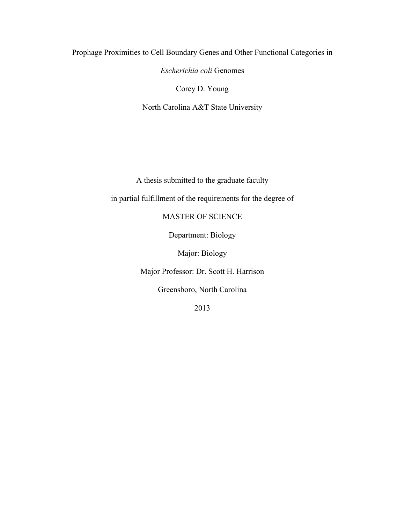Prophage Proximities to Cell Boundary Genes and Other Functional Categories in

*Escherichia coli* Genomes

Corey D. Young

North Carolina A&T State University

A thesis submitted to the graduate faculty

in partial fulfillment of the requirements for the degree of

MASTER OF SCIENCE

Department: Biology

Major: Biology

Major Professor: Dr. Scott H. Harrison

Greensboro, North Carolina

2013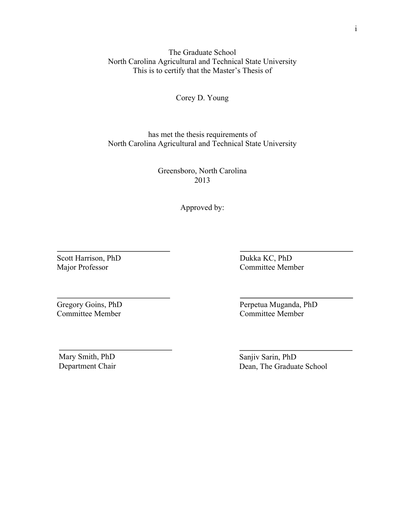The Graduate School North Carolina Agricultural and Technical State University This is to certify that the Master's Thesis of

Corey D. Young

has met the thesis requirements of North Carolina Agricultural and Technical State University

> Greensboro, North Carolina 2013

> > Approved by:

Scott Harrison, PhD Major Professor

Dukka KC, PhD Committee Member

Gregory Goins, PhD Committee Member

Mary Smith, PhD Department Chair Perpetua Muganda, PhD Committee Member

Sanjiv Sarin, PhD Dean, The Graduate School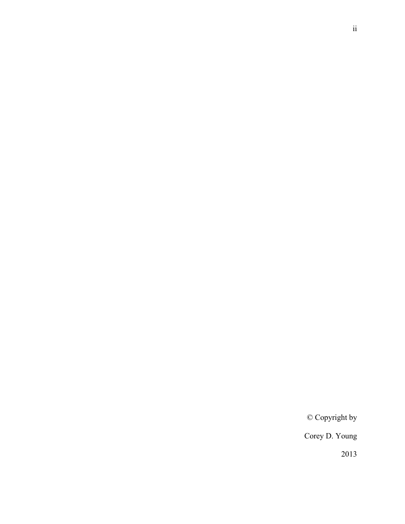© Copyright by

Corey D. Young

2013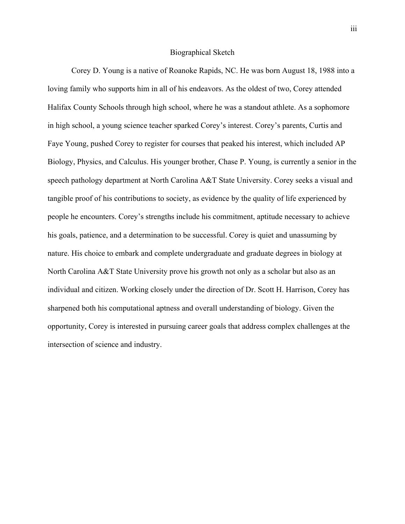### Biographical Sketch

Corey D. Young is a native of Roanoke Rapids, NC. He was born August 18, 1988 into a loving family who supports him in all of his endeavors. As the oldest of two, Corey attended Halifax County Schools through high school, where he was a standout athlete. As a sophomore in high school, a young science teacher sparked Corey's interest. Corey's parents, Curtis and Faye Young, pushed Corey to register for courses that peaked his interest, which included AP Biology, Physics, and Calculus. His younger brother, Chase P. Young, is currently a senior in the speech pathology department at North Carolina A&T State University. Corey seeks a visual and tangible proof of his contributions to society, as evidence by the quality of life experienced by people he encounters. Corey's strengths include his commitment, aptitude necessary to achieve his goals, patience, and a determination to be successful. Corey is quiet and unassuming by nature. His choice to embark and complete undergraduate and graduate degrees in biology at North Carolina A&T State University prove his growth not only as a scholar but also as an individual and citizen. Working closely under the direction of Dr. Scott H. Harrison, Corey has sharpened both his computational aptness and overall understanding of biology. Given the opportunity, Corey is interested in pursuing career goals that address complex challenges at the intersection of science and industry.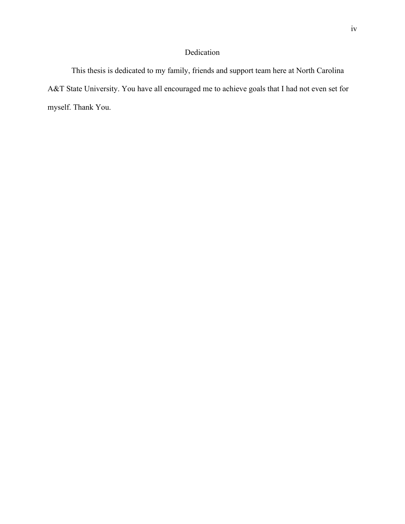# Dedication

This thesis is dedicated to my family, friends and support team here at North Carolina A&T State University. You have all encouraged me to achieve goals that I had not even set for myself. Thank You.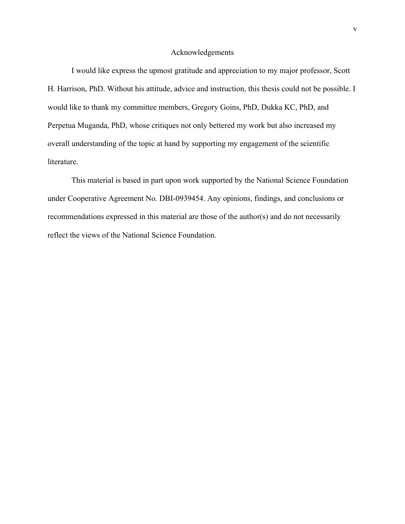### Acknowledgements

I would like express the upmost gratitude and appreciation to my major professor, Scott H. Harrison, PhD. Without his attitude, advice and instruction, this thesis could not be possible. I would like to thank my committee members, Gregory Goins, PhD, Dukka KC, PhD, and Perpetua Muganda, PhD, whose critiques not only bettered my work but also increased my overall understanding of the topic at hand by supporting my engagement of the scientific literature.

This material is based in part upon work supported by the National Science Foundation under Cooperative Agreement No. DBI-0939454. Any opinions, findings, and conclusions or recommendations expressed in this material are those of the author(s) and do not necessarily reflect the views of the National Science Foundation.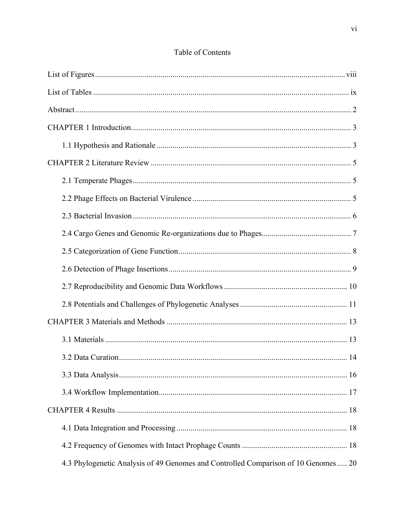| 4.3 Phylogenetic Analysis of 49 Genomes and Controlled Comparison of 10 Genomes  20 |  |
|-------------------------------------------------------------------------------------|--|

# Table of Contents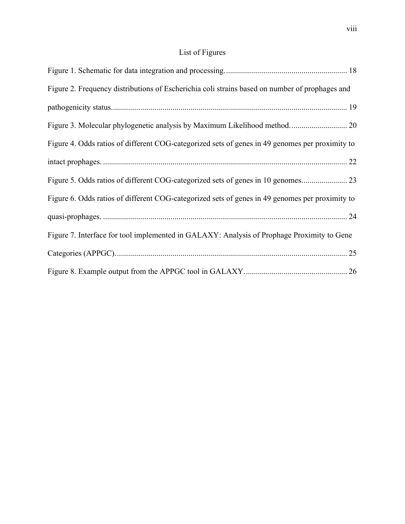# List of Figures

| Figure 2. Frequency distributions of Escherichia coli strains based on number of prophages and  |  |
|-------------------------------------------------------------------------------------------------|--|
|                                                                                                 |  |
|                                                                                                 |  |
| Figure 4. Odds ratios of different COG-categorized sets of genes in 49 genomes per proximity to |  |
|                                                                                                 |  |
|                                                                                                 |  |
| Figure 6. Odds ratios of different COG-categorized sets of genes in 49 genomes per proximity to |  |
|                                                                                                 |  |
| Figure 7. Interface for tool implemented in GALAXY: Analysis of Prophage Proximity to Gene      |  |
|                                                                                                 |  |
|                                                                                                 |  |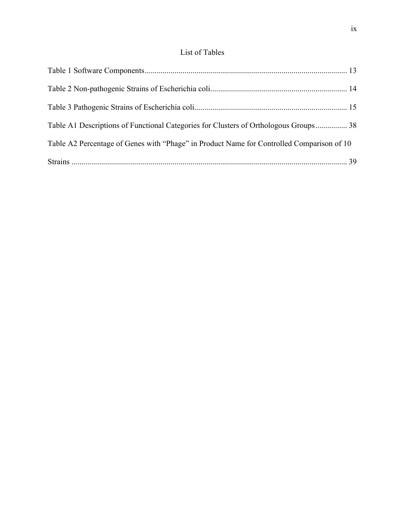# List of Tables

| Table A1 Descriptions of Functional Categories for Clusters of Orthologous Groups 38      |  |
|-------------------------------------------------------------------------------------------|--|
| Table A2 Percentage of Genes with "Phage" in Product Name for Controlled Comparison of 10 |  |
|                                                                                           |  |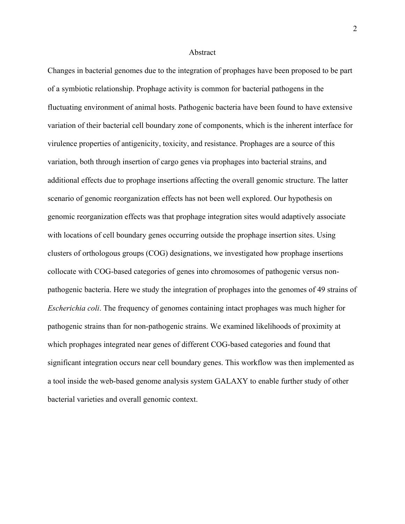#### Abstract

Changes in bacterial genomes due to the integration of prophages have been proposed to be part of a symbiotic relationship. Prophage activity is common for bacterial pathogens in the fluctuating environment of animal hosts. Pathogenic bacteria have been found to have extensive variation of their bacterial cell boundary zone of components, which is the inherent interface for virulence properties of antigenicity, toxicity, and resistance. Prophages are a source of this variation, both through insertion of cargo genes via prophages into bacterial strains, and additional effects due to prophage insertions affecting the overall genomic structure. The latter scenario of genomic reorganization effects has not been well explored. Our hypothesis on genomic reorganization effects was that prophage integration sites would adaptively associate with locations of cell boundary genes occurring outside the prophage insertion sites. Using clusters of orthologous groups (COG) designations, we investigated how prophage insertions collocate with COG-based categories of genes into chromosomes of pathogenic versus nonpathogenic bacteria. Here we study the integration of prophages into the genomes of 49 strains of *Escherichia coli*. The frequency of genomes containing intact prophages was much higher for pathogenic strains than for non-pathogenic strains. We examined likelihoods of proximity at which prophages integrated near genes of different COG-based categories and found that significant integration occurs near cell boundary genes. This workflow was then implemented as a tool inside the web-based genome analysis system GALAXY to enable further study of other bacterial varieties and overall genomic context.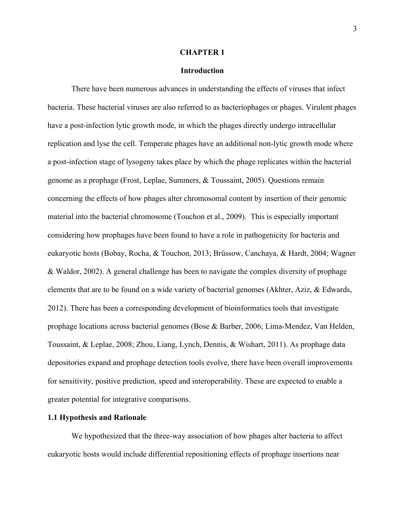#### **CHAPTER 1**

### **Introduction**

There have been numerous advances in understanding the effects of viruses that infect bacteria. These bacterial viruses are also referred to as bacteriophages or phages. Virulent phages have a post-infection lytic growth mode, in which the phages directly undergo intracellular replication and lyse the cell. Temperate phages have an additional non-lytic growth mode where a post-infection stage of lysogeny takes place by which the phage replicates within the bacterial genome as a prophage (Frost, Leplae, Summers, & Toussaint, 2005). Questions remain concerning the effects of how phages alter chromosomal content by insertion of their genomic material into the bacterial chromosome (Touchon et al., 2009). This is especially important considering how prophages have been found to have a role in pathogenicity for bacteria and eukaryotic hosts (Bobay, Rocha, & Touchon, 2013; Brüssow, Canchaya, & Hardt, 2004; Wagner & Waldor, 2002). A general challenge has been to navigate the complex diversity of prophage elements that are to be found on a wide variety of bacterial genomes (Akhter, Aziz, & Edwards, 2012). There has been a corresponding development of bioinformatics tools that investigate prophage locations across bacterial genomes (Bose & Barber, 2006; Lima-Mendez, Van Helden, Toussaint, & Leplae, 2008; Zhou, Liang, Lynch, Dennis, & Wishart, 2011). As prophage data depositories expand and prophage detection tools evolve, there have been overall improvements for sensitivity, positive prediction, speed and interoperability. These are expected to enable a greater potential for integrative comparisons.

## **1.1 Hypothesis and Rationale**

We hypothesized that the three-way association of how phages alter bacteria to affect eukaryotic hosts would include differential repositioning effects of prophage insertions near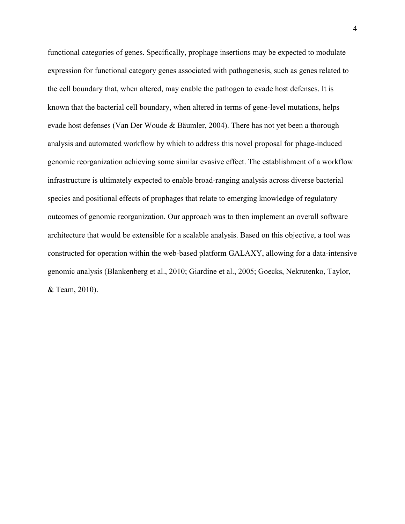functional categories of genes. Specifically, prophage insertions may be expected to modulate expression for functional category genes associated with pathogenesis, such as genes related to the cell boundary that, when altered, may enable the pathogen to evade host defenses. It is known that the bacterial cell boundary, when altered in terms of gene-level mutations, helps evade host defenses (Van Der Woude & Bäumler, 2004). There has not yet been a thorough analysis and automated workflow by which to address this novel proposal for phage-induced genomic reorganization achieving some similar evasive effect. The establishment of a workflow infrastructure is ultimately expected to enable broad-ranging analysis across diverse bacterial species and positional effects of prophages that relate to emerging knowledge of regulatory outcomes of genomic reorganization. Our approach was to then implement an overall software architecture that would be extensible for a scalable analysis. Based on this objective, a tool was constructed for operation within the web-based platform GALAXY, allowing for a data-intensive genomic analysis (Blankenberg et al., 2010; Giardine et al., 2005; Goecks, Nekrutenko, Taylor, & Team, 2010).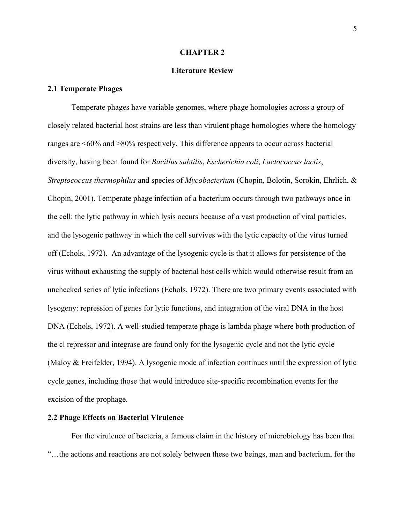#### **CHAPTER 2**

### **Literature Review**

### **2.1 Temperate Phages**

Temperate phages have variable genomes, where phage homologies across a group of closely related bacterial host strains are less than virulent phage homologies where the homology ranges are <60% and >80% respectively. This difference appears to occur across bacterial diversity, having been found for *Bacillus subtilis*, *Escherichia coli*, *Lactococcus lactis*, *Streptococcus thermophilus* and species of *Mycobacterium* (Chopin, Bolotin, Sorokin, Ehrlich, & Chopin, 2001). Temperate phage infection of a bacterium occurs through two pathways once in the cell: the lytic pathway in which lysis occurs because of a vast production of viral particles, and the lysogenic pathway in which the cell survives with the lytic capacity of the virus turned off (Echols, 1972). An advantage of the lysogenic cycle is that it allows for persistence of the virus without exhausting the supply of bacterial host cells which would otherwise result from an unchecked series of lytic infections (Echols, 1972). There are two primary events associated with lysogeny: repression of genes for lytic functions, and integration of the viral DNA in the host DNA (Echols, 1972). A well-studied temperate phage is lambda phage where both production of the cl repressor and integrase are found only for the lysogenic cycle and not the lytic cycle (Maloy & Freifelder, 1994). A lysogenic mode of infection continues until the expression of lytic cycle genes, including those that would introduce site-specific recombination events for the excision of the prophage.

## **2.2 Phage Effects on Bacterial Virulence**

For the virulence of bacteria, a famous claim in the history of microbiology has been that "…the actions and reactions are not solely between these two beings, man and bacterium, for the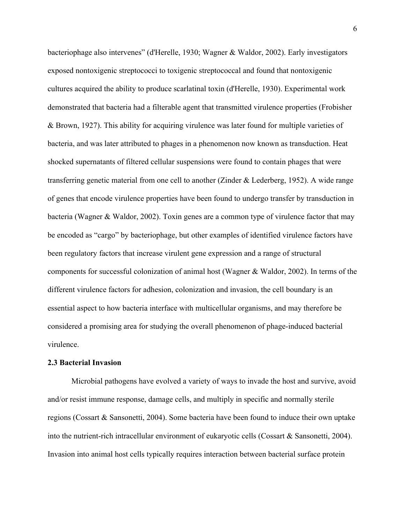bacteriophage also intervenes" (d'Herelle, 1930; Wagner & Waldor, 2002). Early investigators exposed nontoxigenic streptococci to toxigenic streptococcal and found that nontoxigenic cultures acquired the ability to produce scarlatinal toxin (d'Herelle, 1930). Experimental work demonstrated that bacteria had a filterable agent that transmitted virulence properties (Frobisher & Brown, 1927). This ability for acquiring virulence was later found for multiple varieties of bacteria, and was later attributed to phages in a phenomenon now known as transduction. Heat shocked supernatants of filtered cellular suspensions were found to contain phages that were transferring genetic material from one cell to another (Zinder & Lederberg, 1952). A wide range of genes that encode virulence properties have been found to undergo transfer by transduction in bacteria (Wagner & Waldor, 2002). Toxin genes are a common type of virulence factor that may be encoded as "cargo" by bacteriophage, but other examples of identified virulence factors have been regulatory factors that increase virulent gene expression and a range of structural components for successful colonization of animal host (Wagner & Waldor, 2002). In terms of the different virulence factors for adhesion, colonization and invasion, the cell boundary is an essential aspect to how bacteria interface with multicellular organisms, and may therefore be considered a promising area for studying the overall phenomenon of phage-induced bacterial virulence.

### **2.3 Bacterial Invasion**

Microbial pathogens have evolved a variety of ways to invade the host and survive, avoid and/or resist immune response, damage cells, and multiply in specific and normally sterile regions (Cossart & Sansonetti, 2004). Some bacteria have been found to induce their own uptake into the nutrient-rich intracellular environment of eukaryotic cells (Cossart & Sansonetti, 2004). Invasion into animal host cells typically requires interaction between bacterial surface protein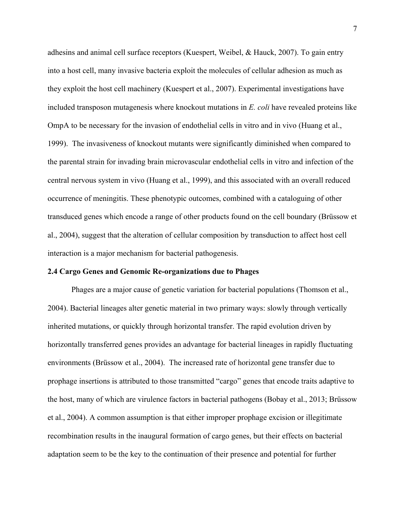adhesins and animal cell surface receptors (Kuespert, Weibel, & Hauck, 2007). To gain entry into a host cell, many invasive bacteria exploit the molecules of cellular adhesion as much as they exploit the host cell machinery (Kuespert et al., 2007). Experimental investigations have included transposon mutagenesis where knockout mutations in *E. coli* have revealed proteins like OmpA to be necessary for the invasion of endothelial cells in vitro and in vivo (Huang et al., 1999). The invasiveness of knockout mutants were significantly diminished when compared to the parental strain for invading brain microvascular endothelial cells in vitro and infection of the central nervous system in vivo (Huang et al., 1999), and this associated with an overall reduced occurrence of meningitis. These phenotypic outcomes, combined with a cataloguing of other transduced genes which encode a range of other products found on the cell boundary (Brüssow et al., 2004), suggest that the alteration of cellular composition by transduction to affect host cell interaction is a major mechanism for bacterial pathogenesis.

### **2.4 Cargo Genes and Genomic Re-organizations due to Phages**

Phages are a major cause of genetic variation for bacterial populations (Thomson et al., 2004). Bacterial lineages alter genetic material in two primary ways: slowly through vertically inherited mutations, or quickly through horizontal transfer. The rapid evolution driven by horizontally transferred genes provides an advantage for bacterial lineages in rapidly fluctuating environments (Brüssow et al., 2004). The increased rate of horizontal gene transfer due to prophage insertions is attributed to those transmitted "cargo" genes that encode traits adaptive to the host, many of which are virulence factors in bacterial pathogens (Bobay et al., 2013; Brüssow et al., 2004). A common assumption is that either improper prophage excision or illegitimate recombination results in the inaugural formation of cargo genes, but their effects on bacterial adaptation seem to be the key to the continuation of their presence and potential for further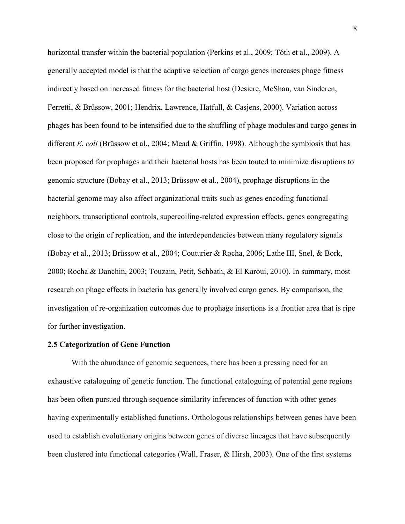horizontal transfer within the bacterial population (Perkins et al., 2009; Tóth et al., 2009). A generally accepted model is that the adaptive selection of cargo genes increases phage fitness indirectly based on increased fitness for the bacterial host (Desiere, McShan, van Sinderen, Ferretti, & Brüssow, 2001; Hendrix, Lawrence, Hatfull, & Casjens, 2000). Variation across phages has been found to be intensified due to the shuffling of phage modules and cargo genes in different *E. coli* (Brüssow et al., 2004; Mead & Griffin, 1998). Although the symbiosis that has been proposed for prophages and their bacterial hosts has been touted to minimize disruptions to genomic structure (Bobay et al., 2013; Brüssow et al., 2004), prophage disruptions in the bacterial genome may also affect organizational traits such as genes encoding functional neighbors, transcriptional controls, supercoiling-related expression effects, genes congregating close to the origin of replication, and the interdependencies between many regulatory signals (Bobay et al., 2013; Brüssow et al., 2004; Couturier & Rocha, 2006; Lathe III, Snel, & Bork, 2000; Rocha & Danchin, 2003; Touzain, Petit, Schbath, & El Karoui, 2010). In summary, most research on phage effects in bacteria has generally involved cargo genes. By comparison, the investigation of re-organization outcomes due to prophage insertions is a frontier area that is ripe for further investigation.

### **2.5 Categorization of Gene Function**

With the abundance of genomic sequences, there has been a pressing need for an exhaustive cataloguing of genetic function. The functional cataloguing of potential gene regions has been often pursued through sequence similarity inferences of function with other genes having experimentally established functions. Orthologous relationships between genes have been used to establish evolutionary origins between genes of diverse lineages that have subsequently been clustered into functional categories (Wall, Fraser, & Hirsh, 2003). One of the first systems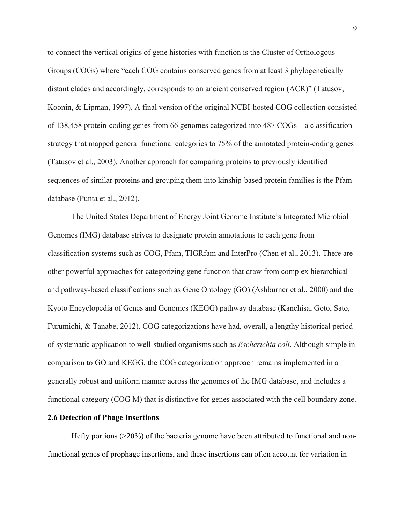to connect the vertical origins of gene histories with function is the Cluster of Orthologous Groups (COGs) where "each COG contains conserved genes from at least 3 phylogenetically distant clades and accordingly, corresponds to an ancient conserved region (ACR)" (Tatusov, Koonin, & Lipman, 1997). A final version of the original NCBI-hosted COG collection consisted of 138,458 protein-coding genes from 66 genomes categorized into 487 COGs – a classification strategy that mapped general functional categories to 75% of the annotated protein-coding genes (Tatusov et al., 2003). Another approach for comparing proteins to previously identified sequences of similar proteins and grouping them into kinship-based protein families is the Pfam database (Punta et al., 2012).

The United States Department of Energy Joint Genome Institute's Integrated Microbial Genomes (IMG) database strives to designate protein annotations to each gene from classification systems such as COG, Pfam, TIGRfam and InterPro (Chen et al., 2013). There are other powerful approaches for categorizing gene function that draw from complex hierarchical and pathway-based classifications such as Gene Ontology (GO) (Ashburner et al., 2000) and the Kyoto Encyclopedia of Genes and Genomes (KEGG) pathway database (Kanehisa, Goto, Sato, Furumichi, & Tanabe, 2012). COG categorizations have had, overall, a lengthy historical period of systematic application to well-studied organisms such as *Escherichia coli*. Although simple in comparison to GO and KEGG, the COG categorization approach remains implemented in a generally robust and uniform manner across the genomes of the IMG database, and includes a functional category (COG M) that is distinctive for genes associated with the cell boundary zone.

### **2.6 Detection of Phage Insertions**

Hefty portions (>20%) of the bacteria genome have been attributed to functional and nonfunctional genes of prophage insertions, and these insertions can often account for variation in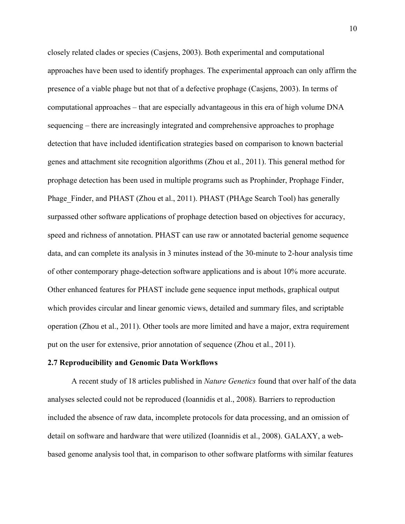closely related clades or species (Casjens, 2003). Both experimental and computational approaches have been used to identify prophages. The experimental approach can only affirm the presence of a viable phage but not that of a defective prophage (Casjens, 2003). In terms of computational approaches – that are especially advantageous in this era of high volume DNA sequencing – there are increasingly integrated and comprehensive approaches to prophage detection that have included identification strategies based on comparison to known bacterial genes and attachment site recognition algorithms (Zhou et al., 2011). This general method for prophage detection has been used in multiple programs such as Prophinder, Prophage Finder, Phage Finder, and PHAST (Zhou et al., 2011). PHAST (PHAge Search Tool) has generally surpassed other software applications of prophage detection based on objectives for accuracy, speed and richness of annotation. PHAST can use raw or annotated bacterial genome sequence data, and can complete its analysis in 3 minutes instead of the 30-minute to 2-hour analysis time of other contemporary phage-detection software applications and is about 10% more accurate. Other enhanced features for PHAST include gene sequence input methods, graphical output which provides circular and linear genomic views, detailed and summary files, and scriptable operation (Zhou et al., 2011). Other tools are more limited and have a major, extra requirement put on the user for extensive, prior annotation of sequence (Zhou et al., 2011).

### **2.7 Reproducibility and Genomic Data Workflows**

A recent study of 18 articles published in *Nature Genetics* found that over half of the data analyses selected could not be reproduced (Ioannidis et al., 2008). Barriers to reproduction included the absence of raw data, incomplete protocols for data processing, and an omission of detail on software and hardware that were utilized (Ioannidis et al., 2008). GALAXY, a webbased genome analysis tool that, in comparison to other software platforms with similar features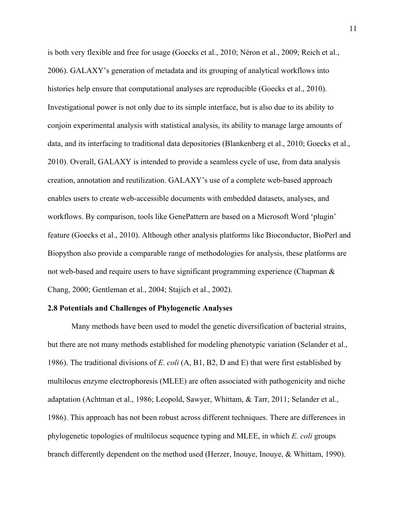is both very flexible and free for usage (Goecks et al., 2010; Néron et al., 2009; Reich et al., 2006). GALAXY's generation of metadata and its grouping of analytical workflows into histories help ensure that computational analyses are reproducible (Goecks et al., 2010). Investigational power is not only due to its simple interface, but is also due to its ability to conjoin experimental analysis with statistical analysis, its ability to manage large amounts of data, and its interfacing to traditional data depositories (Blankenberg et al., 2010; Goecks et al., 2010). Overall, GALAXY is intended to provide a seamless cycle of use, from data analysis creation, annotation and reutilization. GALAXY's use of a complete web-based approach enables users to create web-accessible documents with embedded datasets, analyses, and workflows. By comparison, tools like GenePattern are based on a Microsoft Word 'plugin' feature (Goecks et al., 2010). Although other analysis platforms like Bioconductor, BioPerl and Biopython also provide a comparable range of methodologies for analysis, these platforms are not web-based and require users to have significant programming experience (Chapman & Chang, 2000; Gentleman et al., 2004; Stajich et al., 2002).

### **2.8 Potentials and Challenges of Phylogenetic Analyses**

Many methods have been used to model the genetic diversification of bacterial strains, but there are not many methods established for modeling phenotypic variation (Selander et al., 1986). The traditional divisions of *E. coli* (A, B1, B2, D and E) that were first established by multilocus enzyme electrophoresis (MLEE) are often associated with pathogenicity and niche adaptation (Achtman et al., 1986; Leopold, Sawyer, Whittam, & Tarr, 2011; Selander et al., 1986). This approach has not been robust across different techniques. There are differences in phylogenetic topologies of multilocus sequence typing and MLEE, in which *E. coli* groups branch differently dependent on the method used (Herzer, Inouye, Inouye, & Whittam, 1990).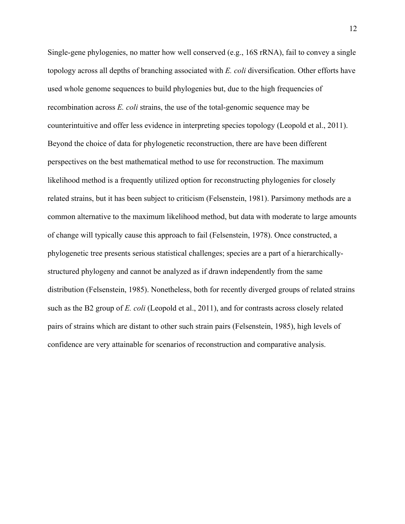Single-gene phylogenies, no matter how well conserved (e.g., 16S rRNA), fail to convey a single topology across all depths of branching associated with *E. coli* diversification. Other efforts have used whole genome sequences to build phylogenies but, due to the high frequencies of recombination across *E. coli* strains, the use of the total-genomic sequence may be counterintuitive and offer less evidence in interpreting species topology (Leopold et al., 2011). Beyond the choice of data for phylogenetic reconstruction, there are have been different perspectives on the best mathematical method to use for reconstruction. The maximum likelihood method is a frequently utilized option for reconstructing phylogenies for closely related strains, but it has been subject to criticism (Felsenstein, 1981). Parsimony methods are a common alternative to the maximum likelihood method, but data with moderate to large amounts of change will typically cause this approach to fail (Felsenstein, 1978). Once constructed, a phylogenetic tree presents serious statistical challenges; species are a part of a hierarchicallystructured phylogeny and cannot be analyzed as if drawn independently from the same distribution (Felsenstein, 1985). Nonetheless, both for recently diverged groups of related strains such as the B2 group of *E. coli* (Leopold et al., 2011), and for contrasts across closely related pairs of strains which are distant to other such strain pairs (Felsenstein, 1985), high levels of confidence are very attainable for scenarios of reconstruction and comparative analysis.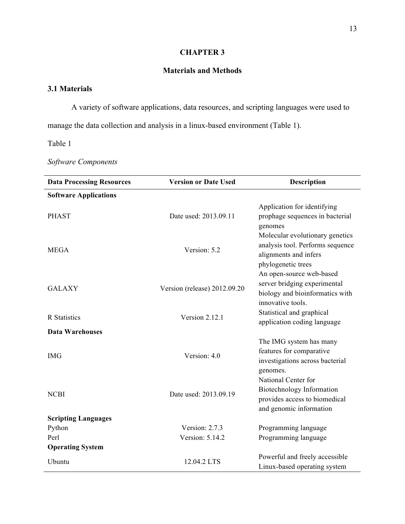# **CHAPTER 3**

## **Materials and Methods**

# **3.1 Materials**

A variety of software applications, data resources, and scripting languages were used to

manage the data collection and analysis in a linux-based environment (Table 1).

Table 1

*Software Components*

| <b>Data Processing Resources</b> | <b>Version or Date Used</b><br>Description                                 |                                                                                                                    |
|----------------------------------|----------------------------------------------------------------------------|--------------------------------------------------------------------------------------------------------------------|
| <b>Software Applications</b>     |                                                                            |                                                                                                                    |
| <b>PHAST</b>                     | Date used: 2013.09.11                                                      | Application for identifying<br>prophage sequences in bacterial<br>genomes                                          |
| <b>MEGA</b>                      | Version: 5.2                                                               | Molecular evolutionary genetics<br>analysis tool. Performs sequence<br>alignments and infers<br>phylogenetic trees |
| <b>GALAXY</b>                    | Version (release) 2012.09.20                                               | An open-source web-based<br>server bridging experimental<br>biology and bioinformatics with<br>innovative tools.   |
| <b>R</b> Statistics              | Statistical and graphical<br>Version 2.12.1<br>application coding language |                                                                                                                    |
| <b>Data Warehouses</b>           |                                                                            |                                                                                                                    |
| <b>IMG</b>                       | Version: 4.0                                                               | The IMG system has many<br>features for comparative<br>investigations across bacterial<br>genomes.                 |
| <b>NCBI</b>                      | Date used: 2013.09.19                                                      | National Center for<br>Biotechnology Information<br>provides access to biomedical<br>and genomic information       |
| <b>Scripting Languages</b>       |                                                                            |                                                                                                                    |
| Python                           | Version: 2.7.3                                                             | Programming language                                                                                               |
| Perl                             | Version: 5.14.2                                                            | Programming language                                                                                               |
| <b>Operating System</b>          |                                                                            |                                                                                                                    |
| Ubuntu                           | 12.04.2 LTS                                                                | Powerful and freely accessible<br>Linux-based operating system                                                     |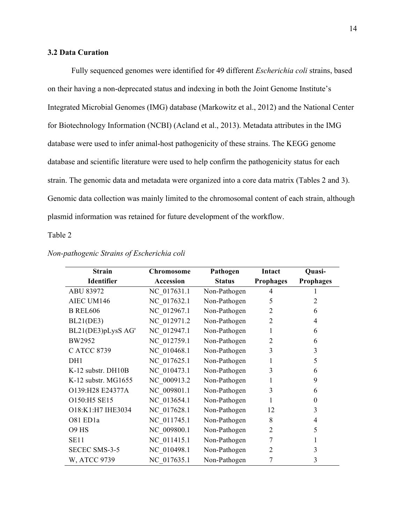## **3.2 Data Curation**

Fully sequenced genomes were identified for 49 different *Escherichia coli* strains, based on their having a non-deprecated status and indexing in both the Joint Genome Institute's Integrated Microbial Genomes (IMG) database (Markowitz et al., 2012) and the National Center for Biotechnology Information (NCBI) (Acland et al., 2013). Metadata attributes in the IMG database were used to infer animal-host pathogenicity of these strains. The KEGG genome database and scientific literature were used to help confirm the pathogenicity status for each strain. The genomic data and metadata were organized into a core data matrix (Tables 2 and 3). Genomic data collection was mainly limited to the chromosomal content of each strain, although plasmid information was retained for future development of the workflow.

### Table 2

| <b>Strain</b>         | <b>Chromosome</b> | Pathogen      | Intact           | Quasi-           |
|-----------------------|-------------------|---------------|------------------|------------------|
| <b>Identifier</b>     | Accession         | <b>Status</b> | <b>Prophages</b> | <b>Prophages</b> |
| ABU 83972             | NC 017631.1       | Non-Pathogen  | 4                |                  |
| AIEC UM146            | NC 017632.1       | Non-Pathogen  | 5                | 2                |
| <b>B REL606</b>       | NC 012967.1       | Non-Pathogen  | $\overline{2}$   | 6                |
| <b>BL21(DE3)</b>      | NC 012971.2       | Non-Pathogen  | $\overline{2}$   | 4                |
| BL21(DE3)pLysS AG'    | NC 012947.1       | Non-Pathogen  | 1                | 6                |
| BW2952                | NC 012759.1       | Non-Pathogen  | 2                | 6                |
| C ATCC 8739           | NC 010468.1       | Non-Pathogen  | 3                | 3                |
| DH1                   | NC 017625.1       | Non-Pathogen  | 1                | 5                |
| K-12 substr. DH10B    | NC 010473.1       | Non-Pathogen  | 3                | 6                |
| $K-12$ substr. MG1655 | NC 000913.2       | Non-Pathogen  |                  | 9                |
| O139:H28 E24377A      | NC 009801.1       | Non-Pathogen  | 3                | 6                |
| O150:H5 SE15          | NC 013654.1       | Non-Pathogen  | 1                | $\theta$         |
| O18:K1:H7 IHE3034     | NC 017628.1       | Non-Pathogen  | 12               | 3                |
| O81 ED1a              | NC 011745.1       | Non-Pathogen  | 8                | 4                |
| O9 HS                 | NC 009800.1       | Non-Pathogen  | $\overline{2}$   | 5                |
| <b>SE11</b>           | NC 011415.1       | Non-Pathogen  | 7                |                  |
| <b>SECEC SMS-3-5</b>  | NC 010498.1       | Non-Pathogen  | 2                | 3                |
| W, ATCC 9739          | NC 017635.1       | Non-Pathogen  | 7                | 3                |

#### *Non-pathogenic Strains of Escherichia coli*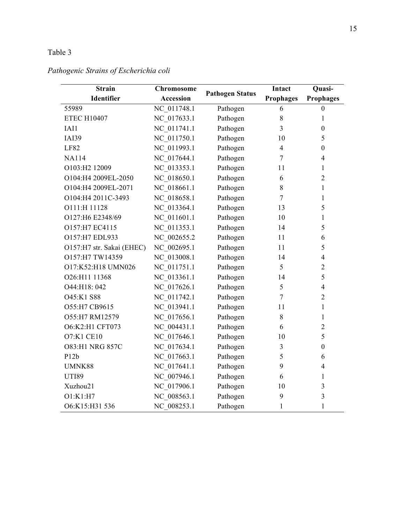# Table 3

# *Pathogenic Strains of Escherichia coli*

| <b>Strain</b>             | <b>Chromosome</b> |                        |                         | Quasi-           |
|---------------------------|-------------------|------------------------|-------------------------|------------------|
| Identifier                | <b>Accession</b>  | <b>Pathogen Status</b> | <b>Prophages</b>        | <b>Prophages</b> |
| 55989                     | NC 011748.1       | Pathogen               | 6                       | $\boldsymbol{0}$ |
| <b>ETEC H10407</b>        | NC 017633.1       | Pathogen               | 8                       | 1                |
| IAI1                      | NC_011741.1       | Pathogen               | $\overline{\mathbf{3}}$ | $\boldsymbol{0}$ |
| <b>IAI39</b>              | NC 011750.1       | Pathogen               | 10                      | 5                |
| LF82                      | NC 011993.1       | Pathogen               | $\overline{4}$          | $\boldsymbol{0}$ |
| <b>NA114</b>              | NC 017644.1       | Pathogen               | 7                       | $\overline{4}$   |
| O103:H2 12009             | NC 013353.1       | Pathogen               | 11                      | 1                |
| O104:H4 2009EL-2050       | NC 018650.1       | Pathogen               | 6                       | $\overline{2}$   |
| O104:H4 2009EL-2071       | NC 018661.1       | Pathogen               | 8                       | 1                |
| O104:H4 2011C-3493        | NC 018658.1       | Pathogen               | $\overline{7}$          | 1                |
| O111:H 11128              | NC 013364.1       | Pathogen               | 13                      | 5                |
| O127:H6 E2348/69          | NC 011601.1       | Pathogen               | 10                      | 1                |
| O157:H7 EC4115            | NC 011353.1       | Pathogen               | 14                      | 5                |
| O157:H7 EDL933            | NC 002655.2       | Pathogen               | 11                      | 6                |
| O157:H7 str. Sakai (EHEC) | NC 002695.1       | Pathogen               | 11                      | 5                |
| O157:H7 TW14359           | NC 013008.1       | Pathogen               | 14                      | $\overline{4}$   |
| O17:K52:H18 UMN026        | NC 011751.1       | Pathogen               | 5                       | $\overline{2}$   |
| O26:H11 11368             | NC 013361.1       | Pathogen               | 14                      | 5                |
| O44:H18: 042              | NC 017626.1       | Pathogen               | 5                       | $\overline{4}$   |
| O45:K1 S88                | NC 011742.1       | Pathogen               | $\overline{7}$          | $\overline{2}$   |
| O55:H7 CB9615             | NC 013941.1       | Pathogen               | 11                      | 1                |
| O55:H7 RM12579            | NC 017656.1       | Pathogen               | 8                       | 1                |
| O6:K2:H1 CFT073           | NC 004431.1       | Pathogen               | 6                       | $\overline{2}$   |
| <b>O7:K1 CE10</b>         | NC 017646.1       | Pathogen               | 10                      | 5                |
| <b>O83:H1 NRG 857C</b>    | NC 017634.1       | Pathogen               | 3                       | $\overline{0}$   |
| P12b                      | NC 017663.1       | Pathogen               | 5                       | 6                |
| UMNK88                    | NC 017641.1       | Pathogen               | 9                       | 4                |
| <b>UTI89</b>              | NC 007946.1       | Pathogen               | 6                       | 1                |
| Xuzhou21                  | NC 017906.1       | Pathogen               | 10                      | 3                |
| O1:K1:H7                  | NC 008563.1       | Pathogen               | 9                       | $\overline{3}$   |
| O6:K15:H31 536            | NC 008253.1       | Pathogen               | $\mathbf{1}$            | $\mathbf{1}$     |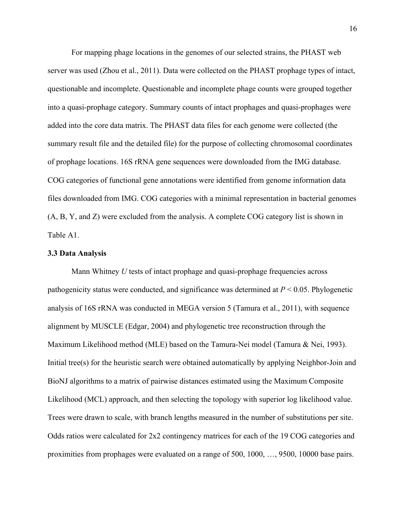For mapping phage locations in the genomes of our selected strains, the PHAST web server was used (Zhou et al., 2011). Data were collected on the PHAST prophage types of intact, questionable and incomplete. Questionable and incomplete phage counts were grouped together into a quasi-prophage category. Summary counts of intact prophages and quasi-prophages were added into the core data matrix. The PHAST data files for each genome were collected (the summary result file and the detailed file) for the purpose of collecting chromosomal coordinates of prophage locations. 16S rRNA gene sequences were downloaded from the IMG database. COG categories of functional gene annotations were identified from genome information data files downloaded from IMG. COG categories with a minimal representation in bacterial genomes (A, B, Y, and Z) were excluded from the analysis. A complete COG category list is shown in Table A1.

#### **3.3 Data Analysis**

Mann Whitney *U* tests of intact prophage and quasi-prophage frequencies across pathogenicity status were conducted, and significance was determined at *P* < 0.05. Phylogenetic analysis of 16S rRNA was conducted in MEGA version 5 (Tamura et al., 2011), with sequence alignment by MUSCLE (Edgar, 2004) and phylogenetic tree reconstruction through the Maximum Likelihood method (MLE) based on the Tamura-Nei model (Tamura & Nei, 1993). Initial tree(s) for the heuristic search were obtained automatically by applying Neighbor-Join and BioNJ algorithms to a matrix of pairwise distances estimated using the Maximum Composite Likelihood (MCL) approach, and then selecting the topology with superior log likelihood value. Trees were drawn to scale, with branch lengths measured in the number of substitutions per site. Odds ratios were calculated for 2x2 contingency matrices for each of the 19 COG categories and proximities from prophages were evaluated on a range of 500, 1000, …, 9500, 10000 base pairs.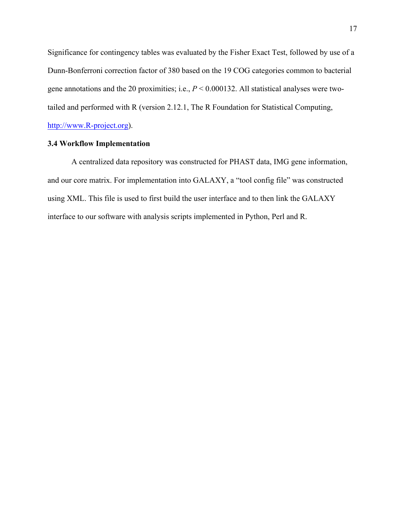Significance for contingency tables was evaluated by the Fisher Exact Test, followed by use of a Dunn-Bonferroni correction factor of 380 based on the 19 COG categories common to bacterial gene annotations and the 20 proximities; i.e., *P* < 0.000132. All statistical analyses were twotailed and performed with R (version 2.12.1, The R Foundation for Statistical Computing, http://www.R-project.org).

## **3.4 Workflow Implementation**

A centralized data repository was constructed for PHAST data, IMG gene information, and our core matrix. For implementation into GALAXY, a "tool config file" was constructed using XML. This file is used to first build the user interface and to then link the GALAXY interface to our software with analysis scripts implemented in Python, Perl and R.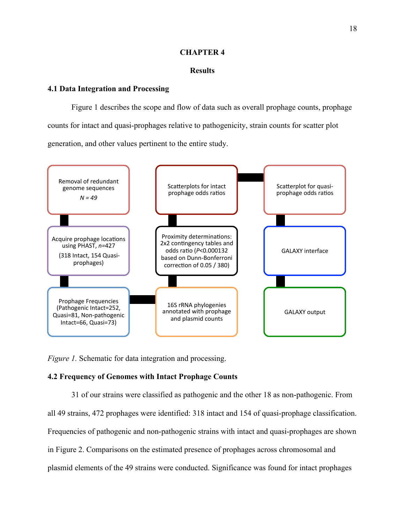### **CHAPTER 4**

### **Results**

### **4.1 Data Integration and Processing**

Figure 1 describes the scope and flow of data such as overall prophage counts, prophage counts for intact and quasi-prophages relative to pathogenicity, strain counts for scatter plot generation, and other values pertinent to the entire study.



*Figure 1.* Schematic for data integration and processing.

## **4.2 Frequency of Genomes with Intact Prophage Counts**

31 of our strains were classified as pathogenic and the other 18 as non-pathogenic. From all 49 strains, 472 prophages were identified: 318 intact and 154 of quasi-prophage classification. Frequencies of pathogenic and non-pathogenic strains with intact and quasi-prophages are shown in Figure 2. Comparisons on the estimated presence of prophages across chromosomal and plasmid elements of the 49 strains were conducted. Significance was found for intact prophages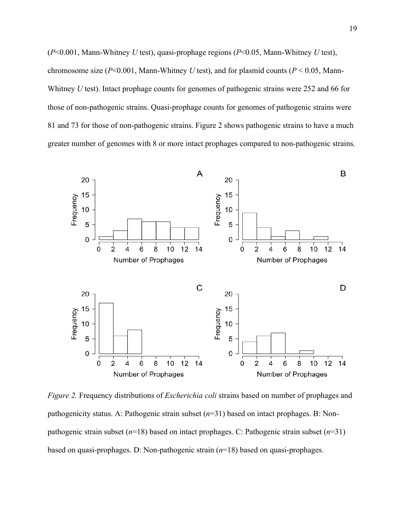(*P*<0.001, Mann-Whitney *U* test), quasi-prophage regions (*P*<0.05, Mann-Whitney *U* test), chromosome size ( $P<0.001$ , Mann-Whitney *U* test), and for plasmid counts ( $P<0.05$ , Mann-Whitney *U* test). Intact prophage counts for genomes of pathogenic strains were 252 and 66 for those of non-pathogenic strains. Quasi-prophage counts for genomes of pathogenic strains were 81 and 73 for those of non-pathogenic strains. Figure 2 shows pathogenic strains to have a much greater number of genomes with 8 or more intact prophages compared to non-pathogenic strains.



*Figure 2.* Frequency distributions of *Escherichia coli* strains based on number of prophages and pathogenicity status. A: Pathogenic strain subset (*n*=31) based on intact prophages. B: Nonpathogenic strain subset (*n*=18) based on intact prophages. C: Pathogenic strain subset (*n*=31) based on quasi-prophages. D: Non-pathogenic strain (*n*=18) based on quasi-prophages.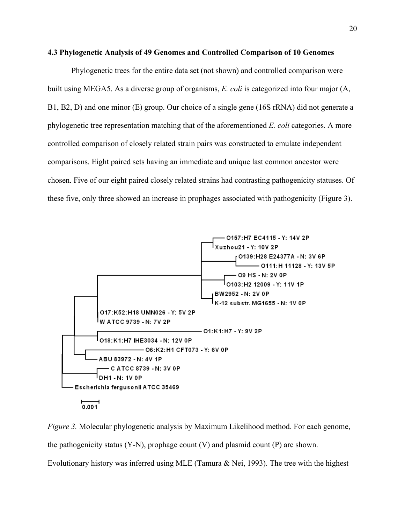### **4.3 Phylogenetic Analysis of 49 Genomes and Controlled Comparison of 10 Genomes**

Phylogenetic trees for the entire data set (not shown) and controlled comparison were built using MEGA5. As a diverse group of organisms, *E. coli* is categorized into four major (A, B1, B2, D) and one minor (E) group. Our choice of a single gene (16S rRNA) did not generate a phylogenetic tree representation matching that of the aforementioned *E. coli* categories. A more controlled comparison of closely related strain pairs was constructed to emulate independent comparisons. Eight paired sets having an immediate and unique last common ancestor were chosen. Five of our eight paired closely related strains had contrasting pathogenicity statuses. Of these five, only three showed an increase in prophages associated with pathogenicity (Figure 3).



*Figure 3.* Molecular phylogenetic analysis by Maximum Likelihood method. For each genome, the pathogenicity status (Y-N), prophage count (V) and plasmid count (P) are shown. Evolutionary history was inferred using MLE (Tamura & Nei, 1993). The tree with the highest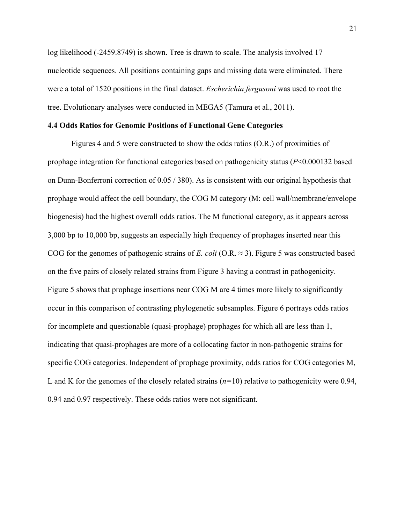log likelihood (-2459.8749) is shown. Tree is drawn to scale. The analysis involved 17 nucleotide sequences. All positions containing gaps and missing data were eliminated. There were a total of 1520 positions in the final dataset. *Escherichia fergusoni* was used to root the tree. Evolutionary analyses were conducted in MEGA5 (Tamura et al., 2011).

### **4.4 Odds Ratios for Genomic Positions of Functional Gene Categories**

Figures 4 and 5 were constructed to show the odds ratios (O.R.) of proximities of prophage integration for functional categories based on pathogenicity status (*P*<0.000132 based on Dunn-Bonferroni correction of 0.05 / 380). As is consistent with our original hypothesis that prophage would affect the cell boundary, the COG M category (M: cell wall/membrane/envelope biogenesis) had the highest overall odds ratios. The M functional category, as it appears across 3,000 bp to 10,000 bp, suggests an especially high frequency of prophages inserted near this COG for the genomes of pathogenic strains of *E. coli* (O.R.  $\approx$  3). Figure 5 was constructed based on the five pairs of closely related strains from Figure 3 having a contrast in pathogenicity. Figure 5 shows that prophage insertions near COG M are 4 times more likely to significantly occur in this comparison of contrasting phylogenetic subsamples. Figure 6 portrays odds ratios for incomplete and questionable (quasi-prophage) prophages for which all are less than 1, indicating that quasi-prophages are more of a collocating factor in non-pathogenic strains for specific COG categories. Independent of prophage proximity, odds ratios for COG categories M, L and K for the genomes of the closely related strains (*n=*10) relative to pathogenicity were 0.94, 0.94 and 0.97 respectively. These odds ratios were not significant.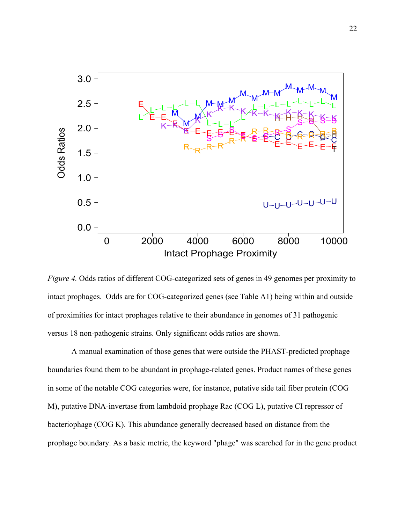![](_page_31_Figure_0.jpeg)

*Figure 4.* Odds ratios of different COG-categorized sets of genes in 49 genomes per proximity to intact prophages. Odds are for COG-categorized genes (see Table A1) being within and outside of proximities for intact prophages relative to their abundance in genomes of 31 pathogenic versus 18 non-pathogenic strains. Only significant odds ratios are shown.

A manual examination of those genes that were outside the PHAST-predicted prophage boundaries found them to be abundant in prophage-related genes. Product names of these genes in some of the notable COG categories were, for instance, putative side tail fiber protein (COG M), putative DNA-invertase from lambdoid prophage Rac (COG L), putative CI repressor of bacteriophage (COG K). This abundance generally decreased based on distance from the prophage boundary. As a basic metric, the keyword "phage" was searched for in the gene product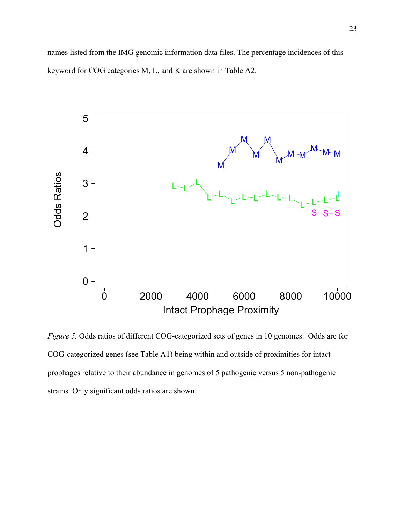names listed from the IMG genomic information data files. The percentage incidences of this keyword for COG categories M, L, and K are shown in Table A2.

![](_page_32_Figure_1.jpeg)

*Figure 5.* Odds ratios of different COG-categorized sets of genes in 10 genomes. Odds are for COG-categorized genes (see Table A1) being within and outside of proximities for intact prophages relative to their abundance in genomes of 5 pathogenic versus 5 non-pathogenic strains. Only significant odds ratios are shown.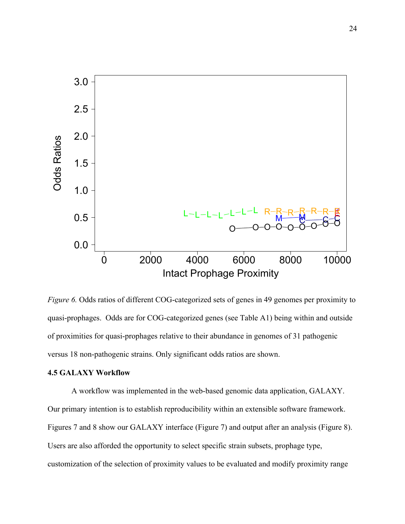![](_page_33_Figure_0.jpeg)

*Figure 6.* Odds ratios of different COG-categorized sets of genes in 49 genomes per proximity to quasi-prophages. Odds are for COG-categorized genes (see Table A1) being within and outside of proximities for quasi-prophages relative to their abundance in genomes of 31 pathogenic versus 18 non-pathogenic strains. Only significant odds ratios are shown.

### **4.5 GALAXY Workflow**

A workflow was implemented in the web-based genomic data application, GALAXY. Our primary intention is to establish reproducibility within an extensible software framework. Figures 7 and 8 show our GALAXY interface (Figure 7) and output after an analysis (Figure 8). Users are also afforded the opportunity to select specific strain subsets, prophage type, customization of the selection of proximity values to be evaluated and modify proximity range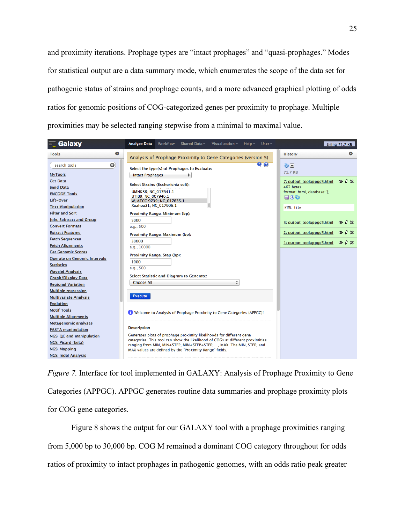and proximity iterations. Prophage types are "intact prophages" and "quasi-prophages." Modes for statistical output are a data summary mode, which enumerates the scope of the data set for pathogenic status of strains and prophage counts, and a more advanced graphical plotting of odds ratios for genomic positions of COG-categorized genes per proximity to prophage. Multiple proximities may be selected ranging stepwise from a minimal to maximal value.

| Galaxy                              | <b>Analyze Data</b><br><b>Workflow</b><br>Shared Data $\sim$<br>Visualization $\sim$<br>$Hello -$<br>User $-$                                          | <b>Using 71.7 KB</b>                                 |
|-------------------------------------|--------------------------------------------------------------------------------------------------------------------------------------------------------|------------------------------------------------------|
| 森<br><b>Tools</b>                   | Analysis of Prophage Proximity to Gene Categories (version 5)                                                                                          | <b>History</b>                                       |
| $\odot$<br>search tools             | $\bullet$ $\bullet$<br>Select the type(s) of Prophages to Evaluate:                                                                                    | ७⊟<br><b>71.7 KB</b>                                 |
| <b>MyTools</b>                      | <b>Intact Prophages</b><br>÷                                                                                                                           |                                                      |
| <b>Get Data</b>                     | Select Strains (Escherichia coli):                                                                                                                     | $\circ$ $\theta \times$<br>7: output_toolappgc5.html |
| <b>Send Data</b>                    | UMNK88: NC 017641.1                                                                                                                                    | 462 bytes                                            |
| <b>ENCODE Tools</b>                 | UT189: NC 007946.1                                                                                                                                     | format: html, database: ?<br>$\Box$ 00               |
| Lift-Over                           | W, ATCC 9739; NC_017635.1                                                                                                                              |                                                      |
| <b>Text Manipulation</b>            | Xuzhou21; NC_017906.1                                                                                                                                  | HTML file                                            |
| <b>Filter and Sort</b>              | Proximity Range, Minimum (bp):                                                                                                                         |                                                      |
| <b>Join, Subtract and Group</b>     | 5000                                                                                                                                                   | $\circ$ 0 $\%$<br>3: output_toolappgc5.html          |
| <b>Convert Formats</b>              | e.g., 500                                                                                                                                              |                                                      |
| <b>Extract Features</b>             | Proximity Range, Maximum (bp):                                                                                                                         | $O$ $Q \times$<br>2: output_toolappgc5.html          |
| <b>Fetch Sequences</b>              | 30000                                                                                                                                                  | $\circ$ 0 $\%$<br>1: output_toolappgc5.html          |
| <b>Fetch Alignments</b>             | e.a., 10000                                                                                                                                            |                                                      |
| <b>Get Genomic Scores</b>           | Proximity Range, Step (bp):                                                                                                                            |                                                      |
| <b>Operate on Genomic Intervals</b> | 1000                                                                                                                                                   |                                                      |
| <b>Statistics</b>                   | e.g., 500                                                                                                                                              |                                                      |
| <b>Wavelet Analysis</b>             | <b>Select Statistic and Diagram to Generate:</b>                                                                                                       |                                                      |
| <b>Graph/Display Data</b>           | ÷<br><b>Choose All</b>                                                                                                                                 |                                                      |
| <b>Regional Variation</b>           |                                                                                                                                                        |                                                      |
| <b>Multiple regression</b>          |                                                                                                                                                        |                                                      |
| <b>Multivariate Analysis</b>        | <b>Execute</b>                                                                                                                                         |                                                      |
| <b>Evolution</b>                    |                                                                                                                                                        |                                                      |
| <b>Motif Tools</b>                  | Welcome to Analysis of Prophage Proximity to Gene Categories (APPGC)!                                                                                  |                                                      |
| <b>Multiple Alignments</b>          |                                                                                                                                                        |                                                      |
| <b>Metagenomic analyses</b>         | <b>Description</b>                                                                                                                                     |                                                      |
| <b>FASTA manipulation</b>           |                                                                                                                                                        |                                                      |
| <b>NGS: QC and manipulation</b>     | Generates plots of prophage proximity likelihoods for different gene<br>categories. This tool can show the likelihood of COGs at different proximities |                                                      |
| <b>NGS: Picard (beta)</b>           | ranging from MIN, MIN+STEP, MIN+STEP+STEP, , MAX. The MIN, STEP, and                                                                                   |                                                      |
| <b>NGS: Mapping</b>                 | MAX values are defined by the "Proximity Range" fields.                                                                                                |                                                      |
| <b>NGS: Indel Analysis</b>          |                                                                                                                                                        |                                                      |

*Figure 7.* Interface for tool implemented in GALAXY: Analysis of Prophage Proximity to Gene Categories (APPGC). APPGC generates routine data summaries and prophage proximity plots for COG gene categories.

Figure 8 shows the output for our GALAXY tool with a prophage proximities ranging from 5,000 bp to 30,000 bp. COG M remained a dominant COG category throughout for odds ratios of proximity to intact prophages in pathogenic genomes, with an odds ratio peak greater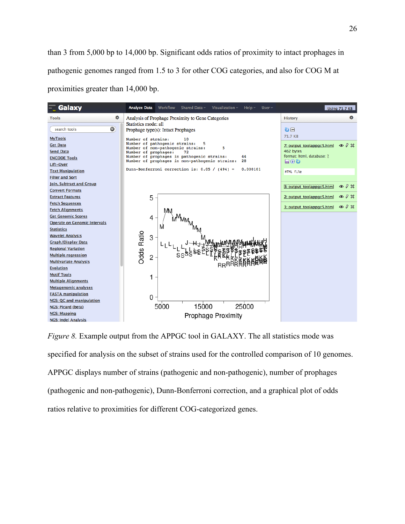than 3 from 5,000 bp to 14,000 bp. Significant odds ratios of proximity to intact prophages in pathogenic genomes ranged from 1.5 to 3 for other COG categories, and also for COG M at proximities greater than 14,000 bp.

![](_page_35_Figure_1.jpeg)

*Figure 8.* Example output from the APPGC tool in GALAXY. The all statistics mode was specified for analysis on the subset of strains used for the controlled comparison of 10 genomes. APPGC displays number of strains (pathogenic and non-pathogenic), number of prophages (pathogenic and non-pathogenic), Dunn-Bonferroni correction, and a graphical plot of odds ratios relative to proximities for different COG-categorized genes.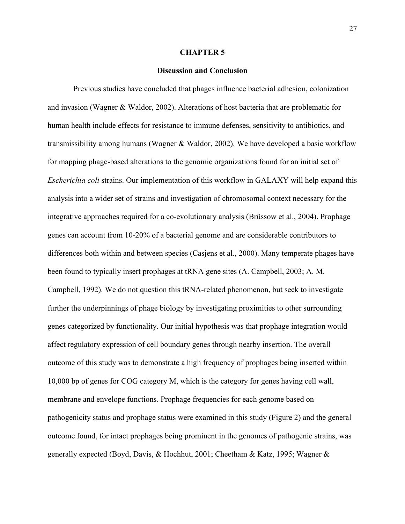#### **CHAPTER 5**

### **Discussion and Conclusion**

Previous studies have concluded that phages influence bacterial adhesion, colonization and invasion (Wagner & Waldor, 2002). Alterations of host bacteria that are problematic for human health include effects for resistance to immune defenses, sensitivity to antibiotics, and transmissibility among humans (Wagner & Waldor, 2002). We have developed a basic workflow for mapping phage-based alterations to the genomic organizations found for an initial set of *Escherichia coli* strains. Our implementation of this workflow in GALAXY will help expand this analysis into a wider set of strains and investigation of chromosomal context necessary for the integrative approaches required for a co-evolutionary analysis (Brüssow et al., 2004). Prophage genes can account from 10-20% of a bacterial genome and are considerable contributors to differences both within and between species (Casjens et al., 2000). Many temperate phages have been found to typically insert prophages at tRNA gene sites (A. Campbell, 2003; A. M. Campbell, 1992). We do not question this tRNA-related phenomenon, but seek to investigate further the underpinnings of phage biology by investigating proximities to other surrounding genes categorized by functionality. Our initial hypothesis was that prophage integration would affect regulatory expression of cell boundary genes through nearby insertion. The overall outcome of this study was to demonstrate a high frequency of prophages being inserted within 10,000 bp of genes for COG category M, which is the category for genes having cell wall, membrane and envelope functions. Prophage frequencies for each genome based on pathogenicity status and prophage status were examined in this study (Figure 2) and the general outcome found, for intact prophages being prominent in the genomes of pathogenic strains, was generally expected (Boyd, Davis, & Hochhut, 2001; Cheetham & Katz, 1995; Wagner &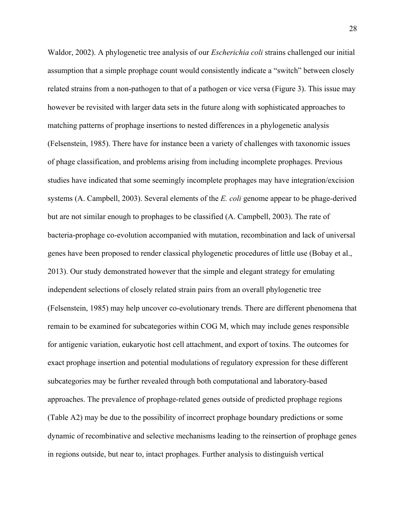Waldor, 2002). A phylogenetic tree analysis of our *Escherichia coli* strains challenged our initial assumption that a simple prophage count would consistently indicate a "switch" between closely related strains from a non-pathogen to that of a pathogen or vice versa (Figure 3). This issue may however be revisited with larger data sets in the future along with sophisticated approaches to matching patterns of prophage insertions to nested differences in a phylogenetic analysis (Felsenstein, 1985). There have for instance been a variety of challenges with taxonomic issues of phage classification, and problems arising from including incomplete prophages. Previous studies have indicated that some seemingly incomplete prophages may have integration/excision systems (A. Campbell, 2003). Several elements of the *E. coli* genome appear to be phage-derived but are not similar enough to prophages to be classified (A. Campbell, 2003). The rate of bacteria-prophage co-evolution accompanied with mutation, recombination and lack of universal genes have been proposed to render classical phylogenetic procedures of little use (Bobay et al., 2013). Our study demonstrated however that the simple and elegant strategy for emulating independent selections of closely related strain pairs from an overall phylogenetic tree (Felsenstein, 1985) may help uncover co-evolutionary trends. There are different phenomena that remain to be examined for subcategories within COG M, which may include genes responsible for antigenic variation, eukaryotic host cell attachment, and export of toxins. The outcomes for exact prophage insertion and potential modulations of regulatory expression for these different subcategories may be further revealed through both computational and laboratory-based approaches. The prevalence of prophage-related genes outside of predicted prophage regions (Table A2) may be due to the possibility of incorrect prophage boundary predictions or some dynamic of recombinative and selective mechanisms leading to the reinsertion of prophage genes in regions outside, but near to, intact prophages. Further analysis to distinguish vertical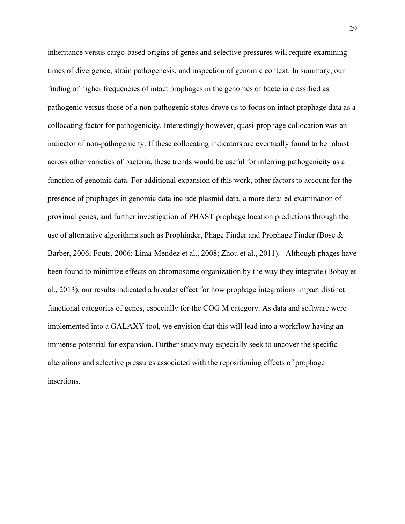inheritance versus cargo-based origins of genes and selective pressures will require examining times of divergence, strain pathogenesis, and inspection of genomic context. In summary, our finding of higher frequencies of intact prophages in the genomes of bacteria classified as pathogenic versus those of a non-pathogenic status drove us to focus on intact prophage data as a collocating factor for pathogenicity. Interestingly however, quasi-prophage collocation was an indicator of non-pathogenicity. If these collocating indicators are eventually found to be robust across other varieties of bacteria, these trends would be useful for inferring pathogenicity as a function of genomic data. For additional expansion of this work, other factors to account for the presence of prophages in genomic data include plasmid data, a more detailed examination of proximal genes, and further investigation of PHAST prophage location predictions through the use of alternative algorithms such as Prophinder, Phage Finder and Prophage Finder (Bose & Barber, 2006; Fouts, 2006; Lima-Mendez et al., 2008; Zhou et al., 2011). Although phages have been found to minimize effects on chromosome organization by the way they integrate (Bobay et al., 2013), our results indicated a broader effect for how prophage integrations impact distinct functional categories of genes, especially for the COG M category. As data and software were implemented into a GALAXY tool, we envision that this will lead into a workflow having an immense potential for expansion. Further study may especially seek to uncover the specific alterations and selective pressures associated with the repositioning effects of prophage insertions.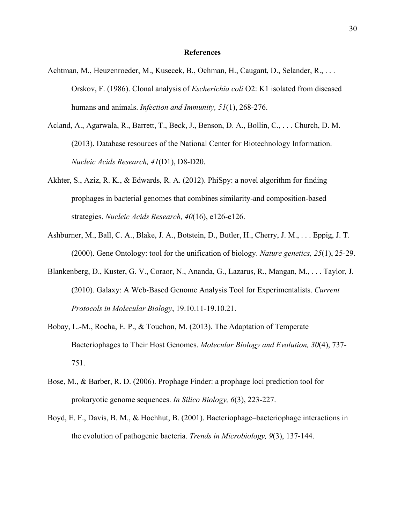### **References**

- Achtman, M., Heuzenroeder, M., Kusecek, B., Ochman, H., Caugant, D., Selander, R., . . . Orskov, F. (1986). Clonal analysis of *Escherichia coli* O2: K1 isolated from diseased humans and animals. *Infection and Immunity, 51*(1), 268-276.
- Acland, A., Agarwala, R., Barrett, T., Beck, J., Benson, D. A., Bollin, C., . . . Church, D. M. (2013). Database resources of the National Center for Biotechnology Information. *Nucleic Acids Research, 41*(D1), D8-D20.
- Akhter, S., Aziz, R. K., & Edwards, R. A. (2012). PhiSpy: a novel algorithm for finding prophages in bacterial genomes that combines similarity-and composition-based strategies. *Nucleic Acids Research, 40*(16), e126-e126.
- Ashburner, M., Ball, C. A., Blake, J. A., Botstein, D., Butler, H., Cherry, J. M., . . . Eppig, J. T. (2000). Gene Ontology: tool for the unification of biology. *Nature genetics, 25*(1), 25-29.
- Blankenberg, D., Kuster, G. V., Coraor, N., Ananda, G., Lazarus, R., Mangan, M., . . . Taylor, J. (2010). Galaxy: A Web-Based Genome Analysis Tool for Experimentalists. *Current Protocols in Molecular Biology*, 19.10.11-19.10.21.
- Bobay, L.-M., Rocha, E. P., & Touchon, M. (2013). The Adaptation of Temperate Bacteriophages to Their Host Genomes. *Molecular Biology and Evolution, 30*(4), 737- 751.
- Bose, M., & Barber, R. D. (2006). Prophage Finder: a prophage loci prediction tool for prokaryotic genome sequences. *In Silico Biology, 6*(3), 223-227.
- Boyd, E. F., Davis, B. M., & Hochhut, B. (2001). Bacteriophage–bacteriophage interactions in the evolution of pathogenic bacteria. *Trends in Microbiology, 9*(3), 137-144.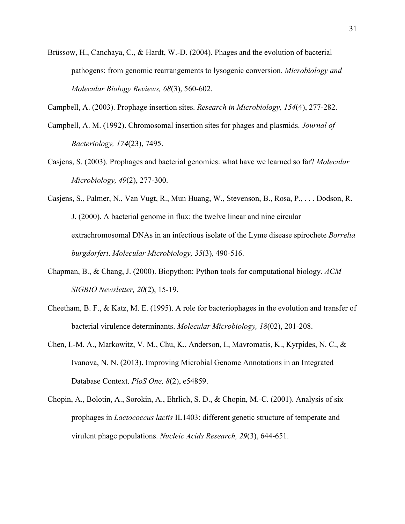Brüssow, H., Canchaya, C., & Hardt, W.-D. (2004). Phages and the evolution of bacterial pathogens: from genomic rearrangements to lysogenic conversion. *Microbiology and Molecular Biology Reviews, 68*(3), 560-602.

Campbell, A. (2003). Prophage insertion sites. *Research in Microbiology, 154*(4), 277-282.

- Campbell, A. M. (1992). Chromosomal insertion sites for phages and plasmids. *Journal of Bacteriology, 174*(23), 7495.
- Casjens, S. (2003). Prophages and bacterial genomics: what have we learned so far? *Molecular Microbiology, 49*(2), 277-300.
- Casjens, S., Palmer, N., Van Vugt, R., Mun Huang, W., Stevenson, B., Rosa, P., . . . Dodson, R. J. (2000). A bacterial genome in flux: the twelve linear and nine circular extrachromosomal DNAs in an infectious isolate of the Lyme disease spirochete *Borrelia burgdorferi*. *Molecular Microbiology, 35*(3), 490-516.
- Chapman, B., & Chang, J. (2000). Biopython: Python tools for computational biology. *ACM SIGBIO Newsletter, 20*(2), 15-19.
- Cheetham, B. F., & Katz, M. E. (1995). A role for bacteriophages in the evolution and transfer of bacterial virulence determinants. *Molecular Microbiology, 18*(02), 201-208.
- Chen, I.-M. A., Markowitz, V. M., Chu, K., Anderson, I., Mavromatis, K., Kyrpides, N. C., & Ivanova, N. N. (2013). Improving Microbial Genome Annotations in an Integrated Database Context. *PloS One, 8*(2), e54859.
- Chopin, A., Bolotin, A., Sorokin, A., Ehrlich, S. D., & Chopin, M.-C. (2001). Analysis of six prophages in *Lactococcus lactis* IL1403: different genetic structure of temperate and virulent phage populations. *Nucleic Acids Research, 29*(3), 644-651.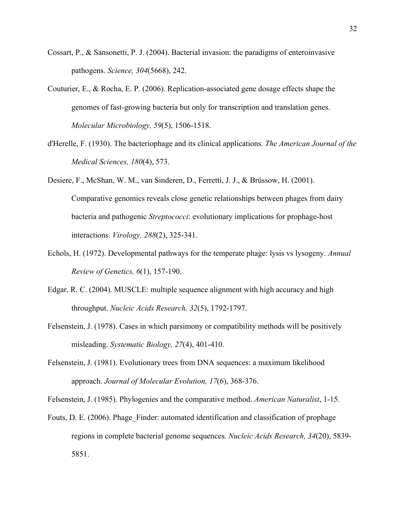- Cossart, P., & Sansonetti, P. J. (2004). Bacterial invasion: the paradigms of enteroinvasive pathogens. *Science, 304*(5668), 242.
- Couturier, E., & Rocha, E. P. (2006). Replication-associated gene dosage effects shape the genomes of fast-growing bacteria but only for transcription and translation genes. *Molecular Microbiology, 59*(5), 1506-1518.
- d'Herelle, F. (1930). The bacteriophage and its clinical applications. *The American Journal of the Medical Sciences, 180*(4), 573.
- Desiere, F., McShan, W. M., van Sinderen, D., Ferretti, J. J., & Brüssow, H. (2001). Comparative genomics reveals close genetic relationships between phages from dairy bacteria and pathogenic *Streptococci*: evolutionary implications for prophage-host interactions. *Virology, 288*(2), 325-341.
- Echols, H. (1972). Developmental pathways for the temperate phage: lysis vs lysogeny. *Annual Review of Genetics, 6*(1), 157-190.
- Edgar, R. C. (2004). MUSCLE: multiple sequence alignment with high accuracy and high throughput. *Nucleic Acids Research, 32*(5), 1792-1797.
- Felsenstein, J. (1978). Cases in which parsimony or compatibility methods will be positively misleading. *Systematic Biology, 27*(4), 401-410.
- Felsenstein, J. (1981). Evolutionary trees from DNA sequences: a maximum likelihood approach. *Journal of Molecular Evolution, 17*(6), 368-376.

Felsenstein, J. (1985). Phylogenies and the comparative method. *American Naturalist*, 1-15.

Fouts, D. E. (2006). Phage\_Finder: automated identification and classification of prophage regions in complete bacterial genome sequences. *Nucleic Acids Research, 34*(20), 5839- 5851.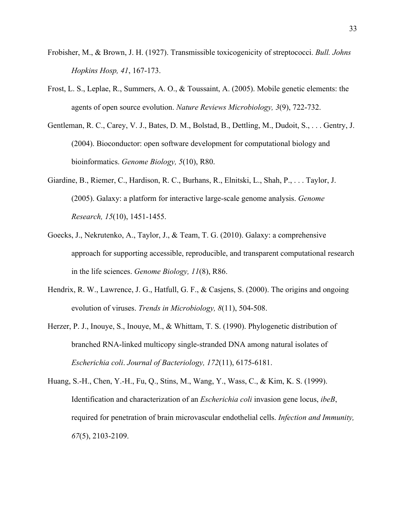- Frobisher, M., & Brown, J. H. (1927). Transmissible toxicogenicity of streptococci. *Bull. Johns Hopkins Hosp, 41*, 167-173.
- Frost, L. S., Leplae, R., Summers, A. O., & Toussaint, A. (2005). Mobile genetic elements: the agents of open source evolution. *Nature Reviews Microbiology, 3*(9), 722-732.
- Gentleman, R. C., Carey, V. J., Bates, D. M., Bolstad, B., Dettling, M., Dudoit, S., . . . Gentry, J. (2004). Bioconductor: open software development for computational biology and bioinformatics. *Genome Biology, 5*(10), R80.
- Giardine, B., Riemer, C., Hardison, R. C., Burhans, R., Elnitski, L., Shah, P., . . . Taylor, J. (2005). Galaxy: a platform for interactive large-scale genome analysis. *Genome Research, 15*(10), 1451-1455.
- Goecks, J., Nekrutenko, A., Taylor, J., & Team, T. G. (2010). Galaxy: a comprehensive approach for supporting accessible, reproducible, and transparent computational research in the life sciences. *Genome Biology, 11*(8), R86.
- Hendrix, R. W., Lawrence, J. G., Hatfull, G. F., & Casjens, S. (2000). The origins and ongoing evolution of viruses. *Trends in Microbiology, 8*(11), 504-508.
- Herzer, P. J., Inouye, S., Inouye, M., & Whittam, T. S. (1990). Phylogenetic distribution of branched RNA-linked multicopy single-stranded DNA among natural isolates of *Escherichia coli*. *Journal of Bacteriology, 172*(11), 6175-6181.
- Huang, S.-H., Chen, Y.-H., Fu, Q., Stins, M., Wang, Y., Wass, C., & Kim, K. S. (1999). Identification and characterization of an *Escherichia coli* invasion gene locus, *ibeB*, required for penetration of brain microvascular endothelial cells. *Infection and Immunity, 67*(5), 2103-2109.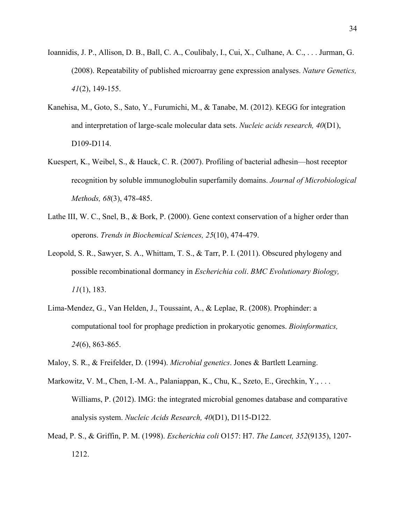- Ioannidis, J. P., Allison, D. B., Ball, C. A., Coulibaly, I., Cui, X., Culhane, A. C., . . . Jurman, G. (2008). Repeatability of published microarray gene expression analyses. *Nature Genetics, 41*(2), 149-155.
- Kanehisa, M., Goto, S., Sato, Y., Furumichi, M., & Tanabe, M. (2012). KEGG for integration and interpretation of large-scale molecular data sets. *Nucleic acids research, 40*(D1), D109-D114.
- Kuespert, K., Weibel, S., & Hauck, C. R. (2007). Profiling of bacterial adhesin—host receptor recognition by soluble immunoglobulin superfamily domains. *Journal of Microbiological Methods, 68*(3), 478-485.
- Lathe III, W. C., Snel, B., & Bork, P. (2000). Gene context conservation of a higher order than operons. *Trends in Biochemical Sciences, 25*(10), 474-479.
- Leopold, S. R., Sawyer, S. A., Whittam, T. S., & Tarr, P. I. (2011). Obscured phylogeny and possible recombinational dormancy in *Escherichia coli*. *BMC Evolutionary Biology, 11*(1), 183.
- Lima-Mendez, G., Van Helden, J., Toussaint, A., & Leplae, R. (2008). Prophinder: a computational tool for prophage prediction in prokaryotic genomes. *Bioinformatics, 24*(6), 863-865.
- Maloy, S. R., & Freifelder, D. (1994). *Microbial genetics*. Jones & Bartlett Learning.
- Markowitz, V. M., Chen, I.-M. A., Palaniappan, K., Chu, K., Szeto, E., Grechkin, Y., ... Williams, P. (2012). IMG: the integrated microbial genomes database and comparative analysis system. *Nucleic Acids Research, 40*(D1), D115-D122.
- Mead, P. S., & Griffin, P. M. (1998). *Escherichia coli* O157: H7. *The Lancet, 352*(9135), 1207- 1212.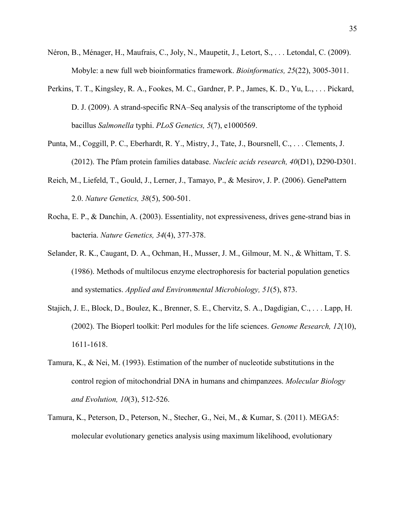- Néron, B., Ménager, H., Maufrais, C., Joly, N., Maupetit, J., Letort, S., . . . Letondal, C. (2009). Mobyle: a new full web bioinformatics framework. *Bioinformatics, 25*(22), 3005-3011.
- Perkins, T. T., Kingsley, R. A., Fookes, M. C., Gardner, P. P., James, K. D., Yu, L., . . . Pickard, D. J. (2009). A strand-specific RNA–Seq analysis of the transcriptome of the typhoid bacillus *Salmonella* typhi. *PLoS Genetics, 5*(7), e1000569.
- Punta, M., Coggill, P. C., Eberhardt, R. Y., Mistry, J., Tate, J., Boursnell, C., . . . Clements, J. (2012). The Pfam protein families database. *Nucleic acids research, 40*(D1), D290-D301.
- Reich, M., Liefeld, T., Gould, J., Lerner, J., Tamayo, P., & Mesirov, J. P. (2006). GenePattern 2.0. *Nature Genetics, 38*(5), 500-501.
- Rocha, E. P., & Danchin, A. (2003). Essentiality, not expressiveness, drives gene-strand bias in bacteria. *Nature Genetics, 34*(4), 377-378.
- Selander, R. K., Caugant, D. A., Ochman, H., Musser, J. M., Gilmour, M. N., & Whittam, T. S. (1986). Methods of multilocus enzyme electrophoresis for bacterial population genetics and systematics. *Applied and Environmental Microbiology, 51*(5), 873.
- Stajich, J. E., Block, D., Boulez, K., Brenner, S. E., Chervitz, S. A., Dagdigian, C., . . . Lapp, H. (2002). The Bioperl toolkit: Perl modules for the life sciences. *Genome Research, 12*(10), 1611-1618.
- Tamura, K., & Nei, M. (1993). Estimation of the number of nucleotide substitutions in the control region of mitochondrial DNA in humans and chimpanzees. *Molecular Biology and Evolution, 10*(3), 512-526.
- Tamura, K., Peterson, D., Peterson, N., Stecher, G., Nei, M., & Kumar, S. (2011). MEGA5: molecular evolutionary genetics analysis using maximum likelihood, evolutionary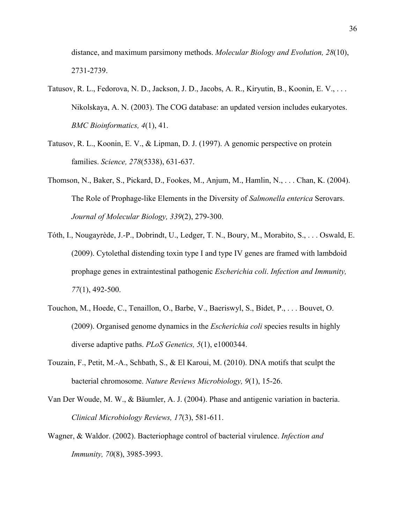distance, and maximum parsimony methods. *Molecular Biology and Evolution, 28*(10), 2731-2739.

- Tatusov, R. L., Fedorova, N. D., Jackson, J. D., Jacobs, A. R., Kiryutin, B., Koonin, E. V., . . . Nikolskaya, A. N. (2003). The COG database: an updated version includes eukaryotes. *BMC Bioinformatics, 4*(1), 41.
- Tatusov, R. L., Koonin, E. V., & Lipman, D. J. (1997). A genomic perspective on protein families. *Science, 278*(5338), 631-637.
- Thomson, N., Baker, S., Pickard, D., Fookes, M., Anjum, M., Hamlin, N., . . . Chan, K. (2004). The Role of Prophage-like Elements in the Diversity of *Salmonella enterica* Serovars. *Journal of Molecular Biology, 339*(2), 279-300.
- Tóth, I., Nougayrède, J.-P., Dobrindt, U., Ledger, T. N., Boury, M., Morabito, S., . . . Oswald, E. (2009). Cytolethal distending toxin type I and type IV genes are framed with lambdoid prophage genes in extraintestinal pathogenic *Escherichia coli*. *Infection and Immunity, 77*(1), 492-500.
- Touchon, M., Hoede, C., Tenaillon, O., Barbe, V., Baeriswyl, S., Bidet, P., . . . Bouvet, O. (2009). Organised genome dynamics in the *Escherichia coli* species results in highly diverse adaptive paths. *PLoS Genetics, 5*(1), e1000344.
- Touzain, F., Petit, M.-A., Schbath, S., & El Karoui, M. (2010). DNA motifs that sculpt the bacterial chromosome. *Nature Reviews Microbiology, 9*(1), 15-26.
- Van Der Woude, M. W., & Bäumler, A. J. (2004). Phase and antigenic variation in bacteria. *Clinical Microbiology Reviews, 17*(3), 581-611.
- Wagner, & Waldor. (2002). Bacteriophage control of bacterial virulence. *Infection and Immunity, 70*(8), 3985-3993.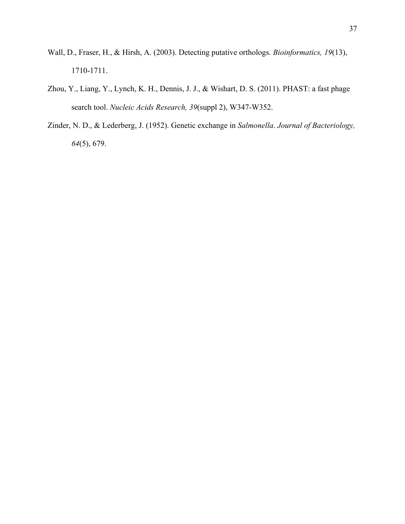- Wall, D., Fraser, H., & Hirsh, A. (2003). Detecting putative orthologs. *Bioinformatics, 19*(13), 1710-1711.
- Zhou, Y., Liang, Y., Lynch, K. H., Dennis, J. J., & Wishart, D. S. (2011). PHAST: a fast phage search tool. *Nucleic Acids Research, 39*(suppl 2), W347-W352.
- Zinder, N. D., & Lederberg, J. (1952). Genetic exchange in *Salmonella*. *Journal of Bacteriology, 64*(5), 679.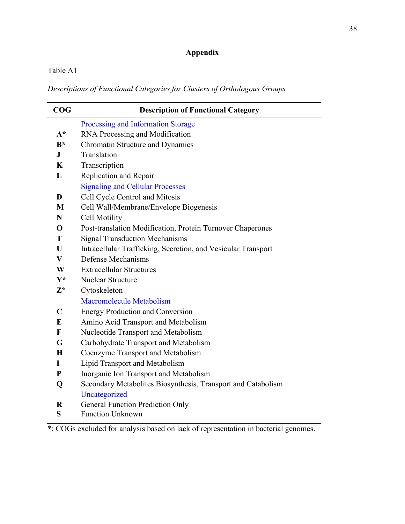# **Appendix**

# Table A1

*Descriptions of Functional Categories for Clusters of Orthologous Groups*

| COG          | <b>Description of Functional Category</b>                     |  |  |  |
|--------------|---------------------------------------------------------------|--|--|--|
|              | Processing and Information Storage                            |  |  |  |
| $A^*$        | RNA Processing and Modification                               |  |  |  |
| $B^*$        | Chromatin Structure and Dynamics                              |  |  |  |
| $\bf J$      | Translation                                                   |  |  |  |
| K            | Transcription                                                 |  |  |  |
| L            | Replication and Repair                                        |  |  |  |
|              | <b>Signaling and Cellular Processes</b>                       |  |  |  |
| D            | Cell Cycle Control and Mitosis                                |  |  |  |
| M            | Cell Wall/Membrane/Envelope Biogenesis                        |  |  |  |
| N            | Cell Motility                                                 |  |  |  |
| $\mathbf 0$  | Post-translation Modification, Protein Turnover Chaperones    |  |  |  |
| T            | <b>Signal Transduction Mechanisms</b>                         |  |  |  |
| U            | Intracellular Trafficking, Secretion, and Vesicular Transport |  |  |  |
| $\mathbf{V}$ | Defense Mechanisms                                            |  |  |  |
| W            | <b>Extracellular Structures</b>                               |  |  |  |
| $Y^*$        | <b>Nuclear Structure</b>                                      |  |  |  |
| $Z^*$        | Cytoskeleton                                                  |  |  |  |
|              | <b>Macromolecule Metabolism</b>                               |  |  |  |
| $\mathbf C$  | <b>Energy Production and Conversion</b>                       |  |  |  |
| E            | Amino Acid Transport and Metabolism                           |  |  |  |
| F            | Nucleotide Transport and Metabolism                           |  |  |  |
| G            | Carbohydrate Transport and Metabolism                         |  |  |  |
| $\mathbf H$  | Coenzyme Transport and Metabolism                             |  |  |  |
| I            | Lipid Transport and Metabolism                                |  |  |  |
| ${\bf P}$    | Inorganic Ion Transport and Metabolism                        |  |  |  |
| Q            | Secondary Metabolites Biosynthesis, Transport and Catabolism  |  |  |  |
|              | Uncategorized                                                 |  |  |  |
| $\bf R$      | <b>General Function Prediction Only</b>                       |  |  |  |
| S            | <b>Function Unknown</b>                                       |  |  |  |
|              |                                                               |  |  |  |

\*: COGs excluded for analysis based on lack of representation in bacterial genomes.